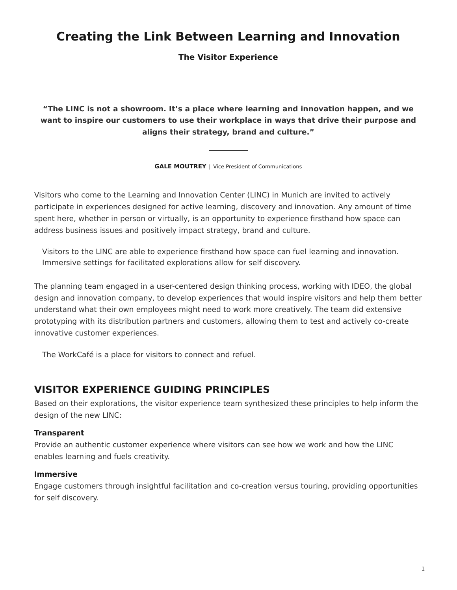# <span id="page-0-0"></span>**Creating the Link Between Learning and Innovation**

**The Visitor Experience**

**"The LINC is not a showroom. It's a place where learning and innovation happen, and we want to inspire our customers to use their workplace in ways that drive their purpose and aligns their strategy, brand and culture."**

**GALE MOUTREY** | Vice President of Communications

Visitors who come to the Learning and Innovation Center (LINC) in Munich are invited to actively participate in experiences designed for active learning, discovery and innovation. Any amount of time spent here, whether in person or virtually, is an opportunity to experience firsthand how space can address business issues and positively impact strategy, brand and culture.

Visitors to the LINC are able to experience firsthand how space can fuel learning and innovation. Immersive settings for facilitated explorations allow for self discovery.

The planning team engaged in a user-centered design thinking process, working with IDEO, the global design and innovation company, to develop experiences that would inspire visitors and help them better understand what their own employees might need to work more creatively. The team did extensive prototyping with its distribution partners and customers, allowing them to test and actively co-create innovative customer experiences.

The WorkCafé is a place for visitors to connect and refuel.

## **VISITOR EXPERIENCE GUIDING PRINCIPLES**

Based on their explorations, the visitor experience team synthesized these principles to help inform the design of the new LINC:

#### **Transparent**

Provide an authentic customer experience where visitors can see how we work and how the LINC enables learning and fuels creativity.

#### **Immersive**

Engage customers through insightful facilitation and co-creation versus touring, providing opportunities for self discovery.